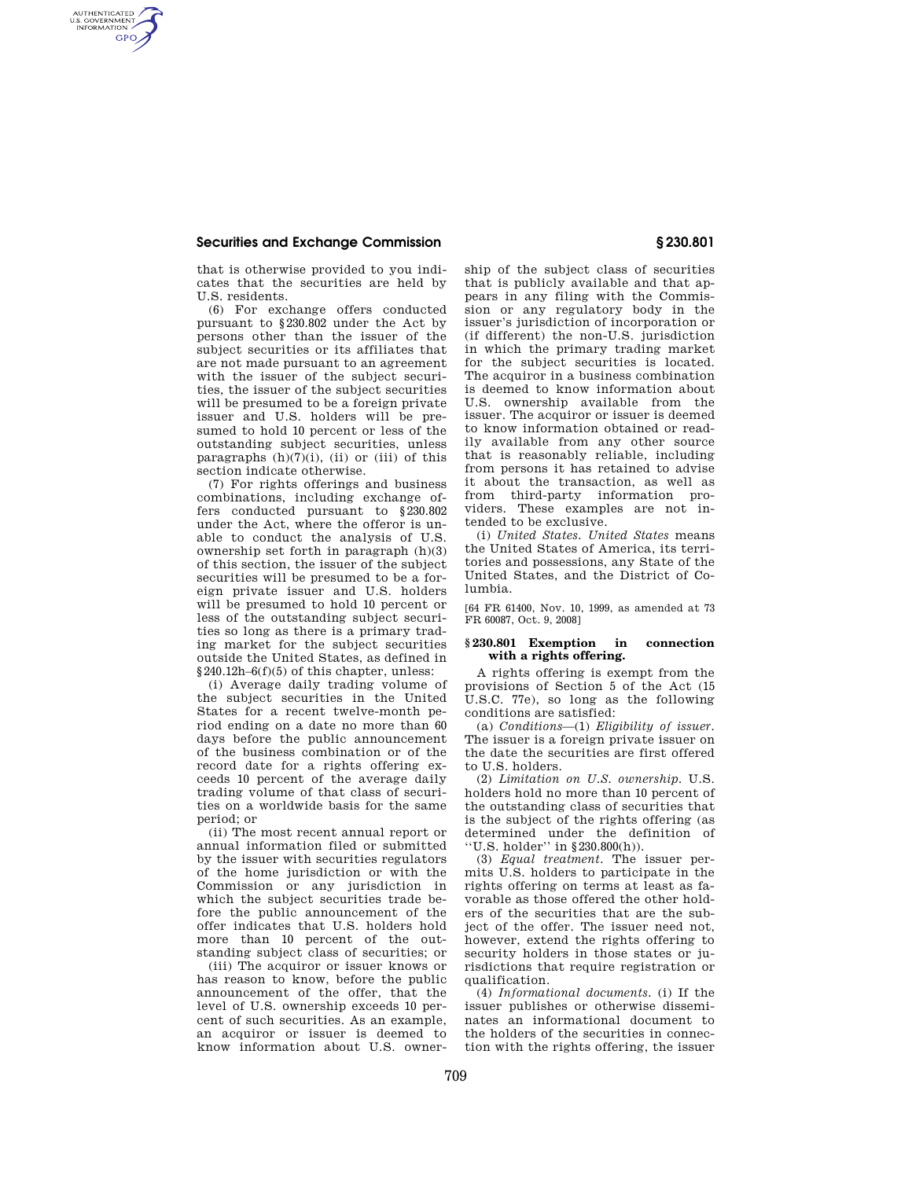## **Securities and Exchange Commission § 230.801**

AUTHENTICATED<br>U.S. GOVERNMENT<br>INFORMATION **GPO** 

> that is otherwise provided to you indicates that the securities are held by U.S. residents.

(6) For exchange offers conducted pursuant to §230.802 under the Act by persons other than the issuer of the subject securities or its affiliates that are not made pursuant to an agreement with the issuer of the subject securities, the issuer of the subject securities will be presumed to be a foreign private issuer and U.S. holders will be presumed to hold 10 percent or less of the outstanding subject securities, unless paragraphs  $(h)(7)(i)$ , (ii) or (iii) of this section indicate otherwise.

(7) For rights offerings and business combinations, including exchange offers conducted pursuant to §230.802 under the Act, where the offeror is unable to conduct the analysis of U.S. ownership set forth in paragraph (h)(3) of this section, the issuer of the subject securities will be presumed to be a foreign private issuer and U.S. holders will be presumed to hold 10 percent or less of the outstanding subject securities so long as there is a primary trading market for the subject securities outside the United States, as defined in §240.12h–6(f)(5) of this chapter, unless:

(i) Average daily trading volume of the subject securities in the United States for a recent twelve-month period ending on a date no more than 60 days before the public announcement of the business combination or of the record date for a rights offering exceeds 10 percent of the average daily trading volume of that class of securities on a worldwide basis for the same period; or

(ii) The most recent annual report or annual information filed or submitted by the issuer with securities regulators of the home jurisdiction or with the Commission or any jurisdiction in which the subject securities trade before the public announcement of the offer indicates that U.S. holders hold more than 10 percent of the outstanding subject class of securities; or

(iii) The acquiror or issuer knows or has reason to know, before the public announcement of the offer, that the level of U.S. ownership exceeds 10 percent of such securities. As an example, an acquiror or issuer is deemed to know information about U.S. ownership of the subject class of securities that is publicly available and that appears in any filing with the Commission or any regulatory body in the issuer's jurisdiction of incorporation or (if different) the non-U.S. jurisdiction in which the primary trading market for the subject securities is located. The acquiror in a business combination is deemed to know information about U.S. ownership available from the issuer. The acquiror or issuer is deemed to know information obtained or readily available from any other source that is reasonably reliable, including from persons it has retained to advise it about the transaction, as well as from third-party information providers. These examples are not intended to be exclusive.

(i) *United States. United States* means the United States of America, its territories and possessions, any State of the United States, and the District of Columbia.

[64 FR 61400, Nov. 10, 1999, as amended at 73 FR 60087, Oct. 9, 2008]

## **§ 230.801 Exemption in connection with a rights offering.**

A rights offering is exempt from the provisions of Section 5 of the Act (15 U.S.C. 77e), so long as the following conditions are satisfied:

(a) *Conditions*—(1) *Eligibility of issuer.*  The issuer is a foreign private issuer on the date the securities are first offered to U.S. holders.

(2) *Limitation on U.S. ownership.* U.S. holders hold no more than 10 percent of the outstanding class of securities that is the subject of the rights offering (as determined under the definition of ''U.S. holder'' in §230.800(h)).

(3) *Equal treatment.* The issuer permits U.S. holders to participate in the rights offering on terms at least as favorable as those offered the other holders of the securities that are the subject of the offer. The issuer need not, however, extend the rights offering to security holders in those states or jurisdictions that require registration or qualification.

(4) *Informational documents.* (i) If the issuer publishes or otherwise disseminates an informational document to the holders of the securities in connection with the rights offering, the issuer